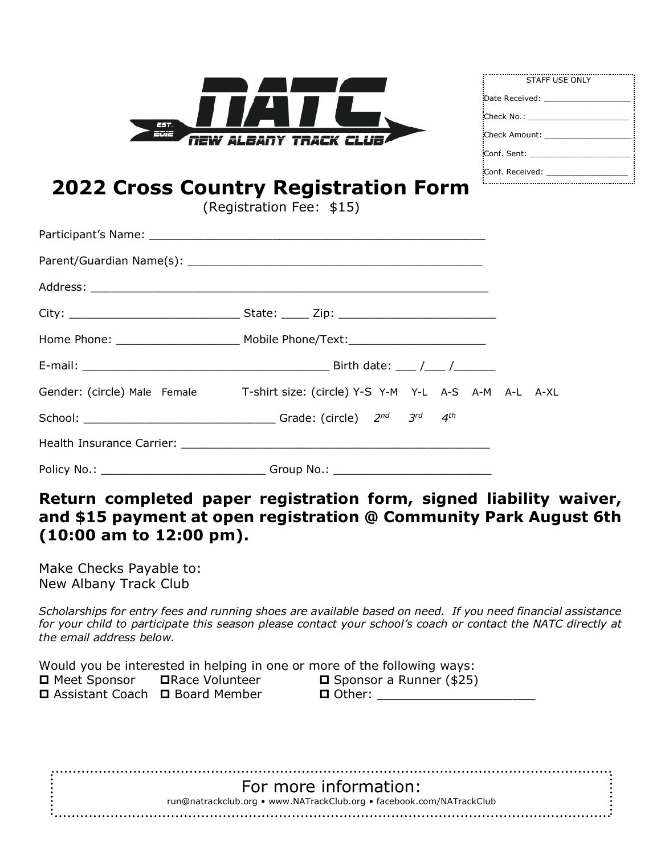

| STAFF USE ONLY           |
|--------------------------|
| Date Received:           |
| Check No.: _____________ |
| :Check Amount:           |
| :Conf. Sent:             |
| Conf. Received:          |

## **2022 Cross Country Registration Form**

(Registration Fee: \$15)

| Gender: (circle) Male Female T-shirt size: (circle) Y-S Y-M Y-L A-S A-M A-L A-XL |  |
|----------------------------------------------------------------------------------|--|
|                                                                                  |  |
|                                                                                  |  |
| Policy No.: ___________________________________Group No.: ______________________ |  |

## **Return completed paper registration form, signed liability waiver, and \$15 payment at open registration @ Community Park August 6th (10:00 am to 12:00 pm).**

Make Checks Payable to: New Albany Track Club

*Scholarships for entry fees and running shoes are available based on need. If you need financial assistance for your child to participate this season please contact your school's coach or contact the NATC directly at the email address below.* 

|                                  |                         | Would you be interested in helping in one or more of the following ways: |
|----------------------------------|-------------------------|--------------------------------------------------------------------------|
| □ Meet Sponsor                   | <b>□</b> Race Volunteer | $\square$ Sponsor a Runner (\$25)                                        |
| □ Assistant Coach □ Board Member |                         | □ Other:                                                                 |
|                                  |                         |                                                                          |

| For more information:                                                |  |
|----------------------------------------------------------------------|--|
| run@natrackclub.org • www.NATrackClub.org • facebook.com/NATrackClub |  |